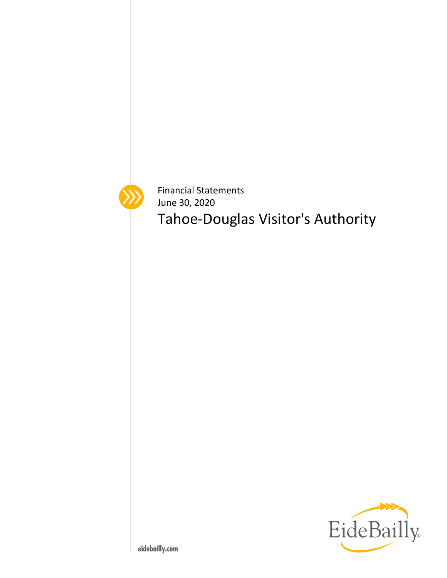

Financial Statements June 30, 2020

Tahoe-Douglas Visitor's Authority

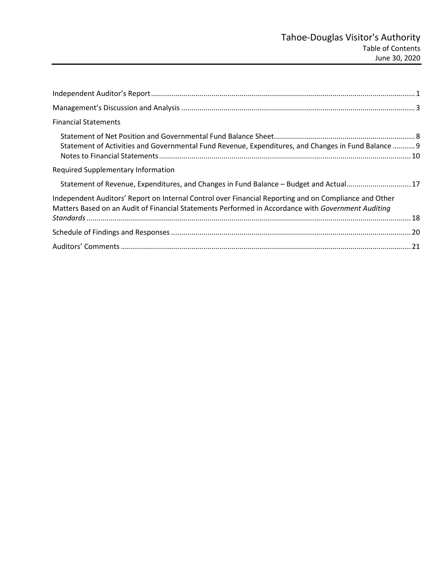| <b>Financial Statements</b>                                                                                                                                                                                 |  |
|-------------------------------------------------------------------------------------------------------------------------------------------------------------------------------------------------------------|--|
| Statement of Activities and Governmental Fund Revenue, Expenditures, and Changes in Fund Balance  9                                                                                                         |  |
| Required Supplementary Information                                                                                                                                                                          |  |
| Statement of Revenue, Expenditures, and Changes in Fund Balance - Budget and Actual17                                                                                                                       |  |
| Independent Auditors' Report on Internal Control over Financial Reporting and on Compliance and Other<br>Matters Based on an Audit of Financial Statements Performed in Accordance with Government Auditing |  |
|                                                                                                                                                                                                             |  |
|                                                                                                                                                                                                             |  |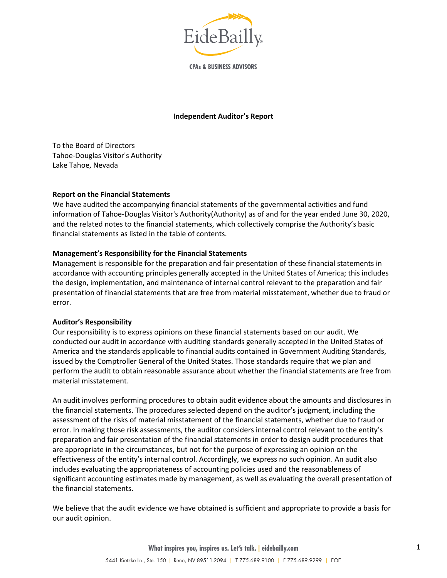

**CPAs & BUSINESS ADVISORS** 

## **Independent Auditor's Report**

To the Board of Directors Tahoe-Douglas Visitor's Authority Lake Tahoe, Nevada

#### **Report on the Financial Statements**

We have audited the accompanying financial statements of the governmental activities and fund information of Tahoe-Douglas Visitor's Authority(Authority) as of and for the year ended June 30, 2020, and the related notes to the financial statements, which collectively comprise the Authority's basic financial statements as listed in the table of contents.

## **Management's Responsibility for the Financial Statements**

Management is responsible for the preparation and fair presentation of these financial statements in accordance with accounting principles generally accepted in the United States of America; this includes the design, implementation, and maintenance of internal control relevant to the preparation and fair presentation of financial statements that are free from material misstatement, whether due to fraud or error.

#### **Auditor's Responsibility**

Our responsibility is to express opinions on these financial statements based on our audit. We conducted our audit in accordance with auditing standards generally accepted in the United States of America and the standards applicable to financial audits contained in Government Auditing Standards, issued by the Comptroller General of the United States. Those standards require that we plan and perform the audit to obtain reasonable assurance about whether the financial statements are free from material misstatement.

An audit involves performing procedures to obtain audit evidence about the amounts and disclosures in the financial statements. The procedures selected depend on the auditor's judgment, including the assessment of the risks of material misstatement of the financial statements, whether due to fraud or error. In making those risk assessments, the auditor considers internal control relevant to the entity's preparation and fair presentation of the financial statements in order to design audit procedures that are appropriate in the circumstances, but not for the purpose of expressing an opinion on the effectiveness of the entity's internal control. Accordingly, we express no such opinion. An audit also includes evaluating the appropriateness of accounting policies used and the reasonableness of significant accounting estimates made by management, as well as evaluating the overall presentation of the financial statements.

We believe that the audit evidence we have obtained is sufficient and appropriate to provide a basis for our audit opinion.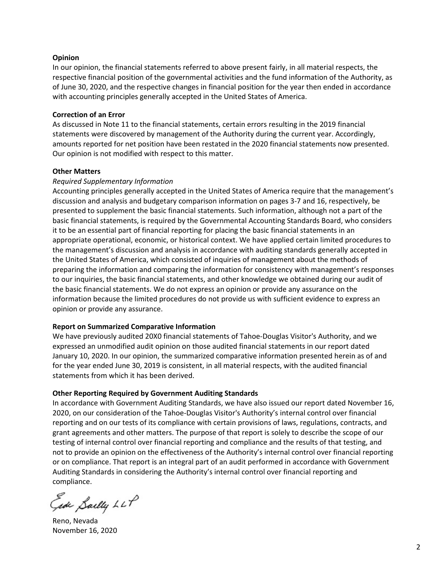#### **Opinion**

In our opinion, the financial statements referred to above present fairly, in all material respects, the respective financial position of the governmental activities and the fund information of the Authority, as of June 30, 2020, and the respective changes in financial position for the year then ended in accordance with accounting principles generally accepted in the United States of America.

#### **Correction of an Error**

As discussed in Note 11 to the financial statements, certain errors resulting in the 2019 financial statements were discovered by management of the Authority during the current year. Accordingly, amounts reported for net position have been restated in the 2020 financial statements now presented. Our opinion is not modified with respect to this matter.

#### **Other Matters**

#### *Required Supplementary Information*

Accounting principles generally accepted in the United States of America require that the management's discussion and analysis and budgetary comparison information on pages 3-7 and 16, respectively, be presented to supplement the basic financial statements. Such information, although not a part of the basic financial statements, is required by the Governmental Accounting Standards Board, who considers it to be an essential part of financial reporting for placing the basic financial statements in an appropriate operational, economic, or historical context. We have applied certain limited procedures to the management's discussion and analysis in accordance with auditing standards generally accepted in the United States of America, which consisted of inquiries of management about the methods of preparing the information and comparing the information for consistency with management's responses to our inquiries, the basic financial statements, and other knowledge we obtained during our audit of the basic financial statements. We do not express an opinion or provide any assurance on the information because the limited procedures do not provide us with sufficient evidence to express an opinion or provide any assurance.

## **Report on Summarized Comparative Information**

We have previously audited 20X0 financial statements of Tahoe-Douglas Visitor's Authority, and we expressed an unmodified audit opinion on those audited financial statements in our report dated January 10, 2020. In our opinion, the summarized comparative information presented herein as of and for the year ended June 30, 2019 is consistent, in all material respects, with the audited financial statements from which it has been derived.

## **Other Reporting Required by Government Auditing Standards**

In accordance with Government Auditing Standards, we have also issued our report dated November 16, 2020, on our consideration of the Tahoe-Douglas Visitor's Authority's internal control over financial reporting and on our tests of its compliance with certain provisions of laws, regulations, contracts, and grant agreements and other matters. The purpose of that report is solely to describe the scope of our testing of internal control over financial reporting and compliance and the results of that testing, and not to provide an opinion on the effectiveness of the Authority's internal control over financial reporting or on compliance. That report is an integral part of an audit performed in accordance with Government Auditing Standards in considering the Authority's internal control over financial reporting and compliance.

Ease Sailly LLP

Reno, Nevada November 16, 2020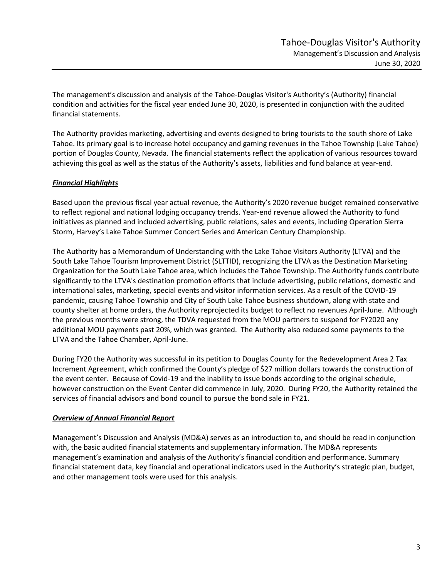The management's discussion and analysis of the Tahoe-Douglas Visitor's Authority's (Authority) financial condition and activities for the fiscal year ended June 30, 2020, is presented in conjunction with the audited financial statements.

The Authority provides marketing, advertising and events designed to bring tourists to the south shore of Lake Tahoe. Its primary goal is to increase hotel occupancy and gaming revenues in the Tahoe Township (Lake Tahoe) portion of Douglas County, Nevada. The financial statements reflect the application of various resources toward achieving this goal as well as the status of the Authority's assets, liabilities and fund balance at year-end.

# *Financial Highlights*

Based upon the previous fiscal year actual revenue, the Authority's 2020 revenue budget remained conservative to reflect regional and national lodging occupancy trends. Year-end revenue allowed the Authority to fund initiatives as planned and included advertising, public relations, sales and events, including Operation Sierra Storm, Harvey's Lake Tahoe Summer Concert Series and American Century Championship.

The Authority has a Memorandum of Understanding with the Lake Tahoe Visitors Authority (LTVA) and the South Lake Tahoe Tourism Improvement District (SLTTID), recognizing the LTVA as the Destination Marketing Organization for the South Lake Tahoe area, which includes the Tahoe Township. The Authority funds contribute significantly to the LTVA's destination promotion efforts that include advertising, public relations, domestic and international sales, marketing, special events and visitor information services. As a result of the COVID-19 pandemic, causing Tahoe Township and City of South Lake Tahoe business shutdown, along with state and county shelter at home orders, the Authority reprojected its budget to reflect no revenues April-June. Although the previous months were strong, the TDVA requested from the MOU partners to suspend for FY2020 any additional MOU payments past 20%, which was granted. The Authority also reduced some payments to the LTVA and the Tahoe Chamber, April-June.

During FY20 the Authority was successful in its petition to Douglas County for the Redevelopment Area 2 Tax Increment Agreement, which confirmed the County's pledge of \$27 million dollars towards the construction of the event center. Because of Covid-19 and the inability to issue bonds according to the original schedule, however construction on the Event Center did commence in July, 2020. During FY20, the Authority retained the services of financial advisors and bond council to pursue the bond sale in FY21.

# *Overview of Annual Financial Report*

Management's Discussion and Analysis (MD&A) serves as an introduction to, and should be read in conjunction with, the basic audited financial statements and supplementary information. The MD&A represents management's examination and analysis of the Authority's financial condition and performance. Summary financial statement data, key financial and operational indicators used in the Authority's strategic plan, budget, and other management tools were used for this analysis.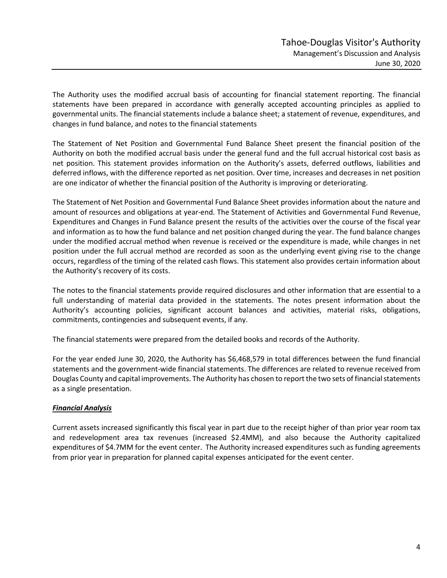The Authority uses the modified accrual basis of accounting for financial statement reporting. The financial statements have been prepared in accordance with generally accepted accounting principles as applied to governmental units. The financial statements include a balance sheet; a statement of revenue, expenditures, and changes in fund balance, and notes to the financial statements

The Statement of Net Position and Governmental Fund Balance Sheet present the financial position of the Authority on both the modified accrual basis under the general fund and the full accrual historical cost basis as net position. This statement provides information on the Authority's assets, deferred outflows, liabilities and deferred inflows, with the difference reported as net position. Over time, increases and decreases in net position are one indicator of whether the financial position of the Authority is improving or deteriorating.

The Statement of Net Position and Governmental Fund Balance Sheet provides information about the nature and amount of resources and obligations at year-end. The Statement of Activities and Governmental Fund Revenue, Expenditures and Changes in Fund Balance present the results of the activities over the course of the fiscal year and information as to how the fund balance and net position changed during the year. The fund balance changes under the modified accrual method when revenue is received or the expenditure is made, while changes in net position under the full accrual method are recorded as soon as the underlying event giving rise to the change occurs, regardless of the timing of the related cash flows. This statement also provides certain information about the Authority's recovery of its costs.

The notes to the financial statements provide required disclosures and other information that are essential to a full understanding of material data provided in the statements. The notes present information about the Authority's accounting policies, significant account balances and activities, material risks, obligations, commitments, contingencies and subsequent events, if any.

The financial statements were prepared from the detailed books and records of the Authority.

For the year ended June 30, 2020, the Authority has \$6,468,579 in total differences between the fund financial statements and the government-wide financial statements. The differences are related to revenue received from Douglas County and capital improvements. The Authority has chosen to report the two sets of financial statements as a single presentation.

## *Financial Analysis*

Current assets increased significantly this fiscal year in part due to the receipt higher of than prior year room tax and redevelopment area tax revenues (increased \$2.4MM), and also because the Authority capitalized expenditures of \$4.7MM for the event center. The Authority increased expenditures such as funding agreements from prior year in preparation for planned capital expenses anticipated for the event center.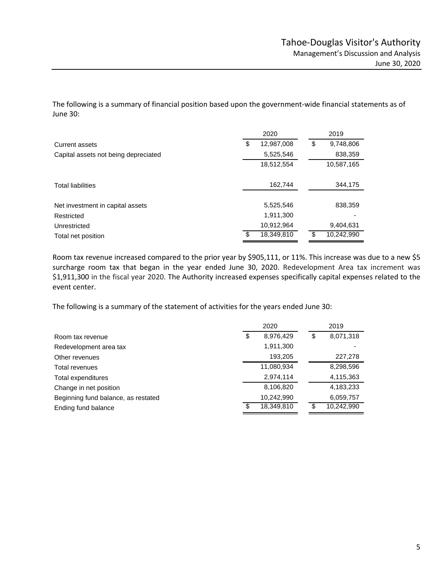The following is a summary of financial position based upon the government-wide financial statements as of June 30:

|                                      | 2020             |    | 2019       |
|--------------------------------------|------------------|----|------------|
| Current assets                       | \$<br>12,987,008 | \$ | 9,748,806  |
| Capital assets not being depreciated | 5,525,546        |    | 838,359    |
|                                      | 18,512,554       |    | 10,587,165 |
|                                      |                  |    |            |
| <b>Total liabilities</b>             | 162,744          |    | 344,175    |
|                                      |                  |    |            |
| Net investment in capital assets     | 5,525,546        |    | 838,359    |
| Restricted                           | 1,911,300        |    |            |
| Unrestricted                         | 10,912,964       |    | 9,404,631  |
| Total net position                   | \$<br>18,349,810 | \$ | 10,242,990 |

Room tax revenue increased compared to the prior year by \$905,111, or 11%. This increase was due to a new \$5 surcharge room tax that began in the year ended June 30, 2020. Redevelopment Area tax increment was \$1,911,300 in the fiscal year 2020. The Authority increased expenses specifically capital expenses related to the event center.

The following is a summary of the statement of activities for the years ended June 30:

|                                     |    | 2020       |    | 2019       |
|-------------------------------------|----|------------|----|------------|
| Room tax revenue                    | \$ | 8,976,429  | \$ | 8,071,318  |
| Redevelopment area tax              |    | 1,911,300  |    |            |
| Other revenues                      |    | 193,205    |    | 227,278    |
| Total revenues                      |    | 11,080,934 |    | 8,298,596  |
| Total expenditures                  |    | 2,974,114  |    | 4,115,363  |
| Change in net position              |    | 8,106,820  |    | 4,183,233  |
| Beginning fund balance, as restated |    | 10,242,990 |    | 6,059,757  |
| Ending fund balance                 | S  | 18,349,810 | S  | 10,242,990 |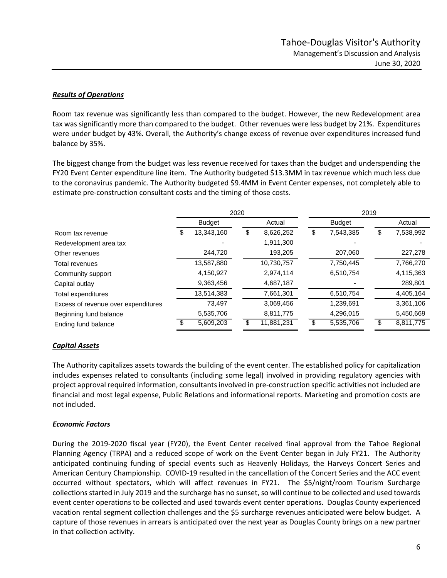## *Results of Operations*

Room tax revenue was significantly less than compared to the budget. However, the new Redevelopment area tax was significantly more than compared to the budget. Other revenues were less budget by 21%. Expenditures were under budget by 43%. Overall, the Authority's change excess of revenue over expenditures increased fund balance by 35%.

The biggest change from the budget was less revenue received for taxes than the budget and underspending the FY20 Event Center expenditure line item. The Authority budgeted \$13.3MM in tax revenue which much less due to the coronavirus pandemic. The Authority budgeted \$9.4MM in Event Center expenses, not completely able to estimate pre-construction consultant costs and the timing of those costs.

|                                     | 2020 |               |    | 2019       |    |               |    |           |
|-------------------------------------|------|---------------|----|------------|----|---------------|----|-----------|
|                                     |      | <b>Budget</b> |    | Actual     |    | <b>Budget</b> |    | Actual    |
| Room tax revenue                    | S    | 13,343,160    | \$ | 8,626,252  | \$ | 7,543,385     | \$ | 7,538,992 |
| Redevelopment area tax              |      |               |    | 1,911,300  |    |               |    |           |
| Other revenues                      |      | 244,720       |    | 193,205    |    | 207,060       |    | 227,278   |
| Total revenues                      |      | 13,587,880    |    | 10,730,757 |    | 7,750,445     |    | 7,766,270 |
| Community support                   |      | 4,150,927     |    | 2,974,114  |    | 6,510,754     |    | 4,115,363 |
| Capital outlay                      |      | 9,363,456     |    | 4,687,187  |    |               |    | 289,801   |
| Total expenditures                  |      | 13,514,383    |    | 7,661,301  |    | 6,510,754     |    | 4,405,164 |
| Excess of revenue over expenditures |      | 73,497        |    | 3,069,456  |    | 1,239,691     |    | 3,361,106 |
| Beginning fund balance              |      | 5,535,706     |    | 8,811,775  |    | 4,296,015     |    | 5,450,669 |
| Ending fund balance                 |      | 5,609,203     | S  | 11,881,231 |    | 5,535,706     |    | 8,811,775 |

# *Capital Assets*

The Authority capitalizes assets towards the building of the event center. The established policy for capitalization includes expenses related to consultants (including some legal) involved in providing regulatory agencies with project approval required information, consultants involved in pre-construction specific activities not included are financial and most legal expense, Public Relations and informational reports. Marketing and promotion costs are not included.

## *Economic Factors*

During the 2019-2020 fiscal year (FY20), the Event Center received final approval from the Tahoe Regional Planning Agency (TRPA) and a reduced scope of work on the Event Center began in July FY21. The Authority anticipated continuing funding of special events such as Heavenly Holidays, the Harveys Concert Series and American Century Championship. COVID-19 resulted in the cancellation of the Concert Series and the ACC event occurred without spectators, which will affect revenues in FY21. The \$5/night/room Tourism Surcharge collections started in July 2019 and the surcharge has no sunset, so will continue to be collected and used towards event center operations to be collected and used towards event center operations. Douglas County experienced vacation rental segment collection challenges and the \$5 surcharge revenues anticipated were below budget. A capture of those revenues in arrears is anticipated over the next year as Douglas County brings on a new partner in that collection activity.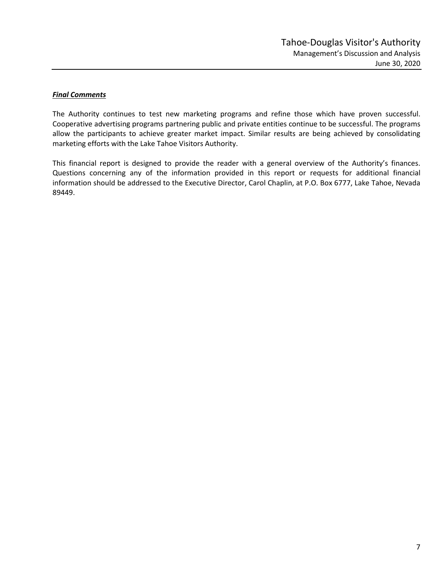## *Final Comments*

The Authority continues to test new marketing programs and refine those which have proven successful. Cooperative advertising programs partnering public and private entities continue to be successful. The programs allow the participants to achieve greater market impact. Similar results are being achieved by consolidating marketing efforts with the Lake Tahoe Visitors Authority.

This financial report is designed to provide the reader with a general overview of the Authority's finances. Questions concerning any of the information provided in this report or requests for additional financial information should be addressed to the Executive Director, Carol Chaplin, at P.O. Box 6777, Lake Tahoe, Nevada 89449.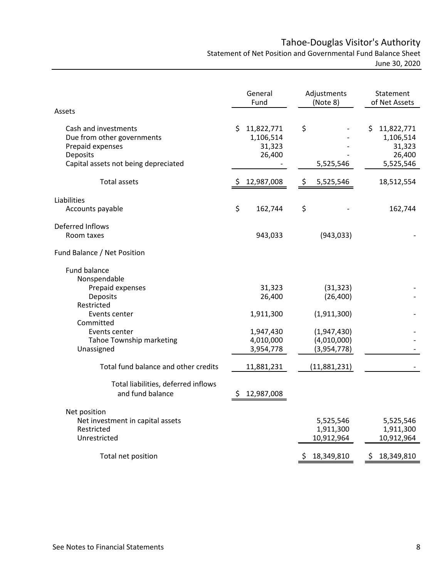# Tahoe-Douglas Visitor's Authority

Statement of Net Position and Governmental Fund Balance Sheet June 30, 2020

|                                                                                                                            |     | General<br>Fund                             |     | Adjustments<br>(Note 8)                   | Statement<br>of Net Assets                                     |
|----------------------------------------------------------------------------------------------------------------------------|-----|---------------------------------------------|-----|-------------------------------------------|----------------------------------------------------------------|
| Assets                                                                                                                     |     |                                             |     |                                           |                                                                |
| Cash and investments<br>Due from other governments<br>Prepaid expenses<br>Deposits<br>Capital assets not being depreciated | \$. | 11,822,771<br>1,106,514<br>31,323<br>26,400 | \$  | 5,525,546                                 | \$<br>11,822,771<br>1,106,514<br>31,323<br>26,400<br>5,525,546 |
| <b>Total assets</b>                                                                                                        |     | 12,987,008                                  | \$, | 5,525,546                                 | 18,512,554                                                     |
| Liabilities<br>Accounts payable                                                                                            | \$  | 162,744                                     | \$  |                                           | 162,744                                                        |
| Deferred Inflows<br>Room taxes                                                                                             |     | 943,033                                     |     | (943, 033)                                |                                                                |
| Fund Balance / Net Position                                                                                                |     |                                             |     |                                           |                                                                |
| Fund balance<br>Nonspendable                                                                                               |     |                                             |     |                                           |                                                                |
| Prepaid expenses<br>Deposits                                                                                               |     | 31,323<br>26,400                            |     | (31, 323)<br>(26, 400)                    |                                                                |
| Restricted<br>Events center<br>Committed                                                                                   |     | 1,911,300                                   |     | (1,911,300)                               |                                                                |
| Events center<br>Tahoe Township marketing<br>Unassigned                                                                    |     | 1,947,430<br>4,010,000<br>3,954,778         |     | (1,947,430)<br>(4,010,000)<br>(3,954,778) |                                                                |
| Total fund balance and other credits                                                                                       |     | 11,881,231                                  |     | (11,881,231)                              |                                                                |
| Total liabilities, deferred inflows<br>and fund balance                                                                    | S   | 12,987,008                                  |     |                                           |                                                                |
| Net position                                                                                                               |     |                                             |     |                                           |                                                                |
| Net investment in capital assets<br>Restricted                                                                             |     |                                             |     | 5,525,546<br>1,911,300                    | 5,525,546<br>1,911,300                                         |
| Unrestricted                                                                                                               |     |                                             |     | 10,912,964                                | 10,912,964                                                     |
| Total net position                                                                                                         |     |                                             | \$  | 18,349,810                                | \$<br>18,349,810                                               |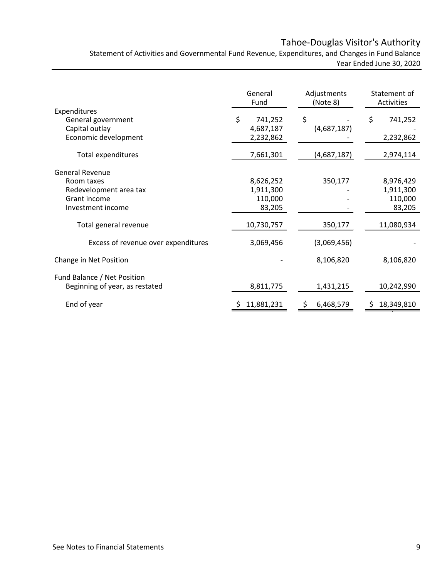# Tahoe-Douglas Visitor's Authority

Statement of Activities and Governmental Fund Revenue, Expenditures, and Changes in Fund Balance Year Ended June 30, 2020

|                                      | General<br>Fund      | Adjustments<br>(Note 8) | Statement of<br>Activities |
|--------------------------------------|----------------------|-------------------------|----------------------------|
| Expenditures                         | \$                   |                         |                            |
| General government<br>Capital outlay | 741,252<br>4,687,187 | \$<br>(4,687,187)       | \$<br>741,252              |
| Economic development                 | 2,232,862            |                         | 2,232,862                  |
| <b>Total expenditures</b>            | 7,661,301            | (4,687,187)             | 2,974,114                  |
| <b>General Revenue</b>               |                      |                         |                            |
| Room taxes                           | 8,626,252            | 350,177                 | 8,976,429                  |
| Redevelopment area tax               | 1,911,300            |                         | 1,911,300                  |
| Grant income                         | 110,000              |                         | 110,000                    |
| Investment income                    | 83,205               |                         | 83,205                     |
| Total general revenue                | 10,730,757           | 350,177                 | 11,080,934                 |
| Excess of revenue over expenditures  | 3,069,456            | (3,069,456)             |                            |
| Change in Net Position               |                      | 8,106,820               | 8,106,820                  |
| Fund Balance / Net Position          |                      |                         |                            |
| Beginning of year, as restated       | 8,811,775            | 1,431,215               | 10,242,990                 |
| End of year                          | 11,881,231           | -\$<br>6,468,579        | 18,349,810<br>S            |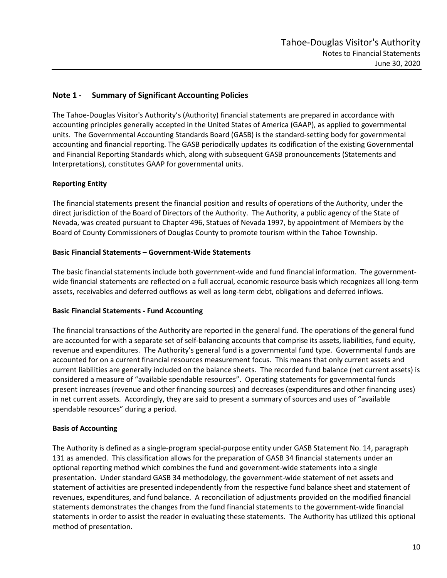# **Note 1 - Summary of Significant Accounting Policies**

The Tahoe-Douglas Visitor's Authority's (Authority) financial statements are prepared in accordance with accounting principles generally accepted in the United States of America (GAAP), as applied to governmental units. The Governmental Accounting Standards Board (GASB) is the standard-setting body for governmental accounting and financial reporting. The GASB periodically updates its codification of the existing Governmental and Financial Reporting Standards which, along with subsequent GASB pronouncements (Statements and Interpretations), constitutes GAAP for governmental units.

## **Reporting Entity**

The financial statements present the financial position and results of operations of the Authority, under the direct jurisdiction of the Board of Directors of the Authority. The Authority, a public agency of the State of Nevada, was created pursuant to Chapter 496, Statues of Nevada 1997, by appointment of Members by the Board of County Commissioners of Douglas County to promote tourism within the Tahoe Township.

#### **Basic Financial Statements – Government-Wide Statements**

The basic financial statements include both government-wide and fund financial information. The governmentwide financial statements are reflected on a full accrual, economic resource basis which recognizes all long-term assets, receivables and deferred outflows as well as long-term debt, obligations and deferred inflows.

#### **Basic Financial Statements - Fund Accounting**

The financial transactions of the Authority are reported in the general fund. The operations of the general fund are accounted for with a separate set of self-balancing accounts that comprise its assets, liabilities, fund equity, revenue and expenditures. The Authority's general fund is a governmental fund type. Governmental funds are accounted for on a current financial resources measurement focus. This means that only current assets and current liabilities are generally included on the balance sheets. The recorded fund balance (net current assets) is considered a measure of "available spendable resources". Operating statements for governmental funds present increases (revenue and other financing sources) and decreases (expenditures and other financing uses) in net current assets. Accordingly, they are said to present a summary of sources and uses of "available spendable resources" during a period.

#### **Basis of Accounting**

The Authority is defined as a single-program special-purpose entity under GASB Statement No. 14, paragraph 131 as amended. This classification allows for the preparation of GASB 34 financial statements under an optional reporting method which combines the fund and government-wide statements into a single presentation. Under standard GASB 34 methodology, the government-wide statement of net assets and statement of activities are presented independently from the respective fund balance sheet and statement of revenues, expenditures, and fund balance. A reconciliation of adjustments provided on the modified financial statements demonstrates the changes from the fund financial statements to the government-wide financial statements in order to assist the reader in evaluating these statements. The Authority has utilized this optional method of presentation.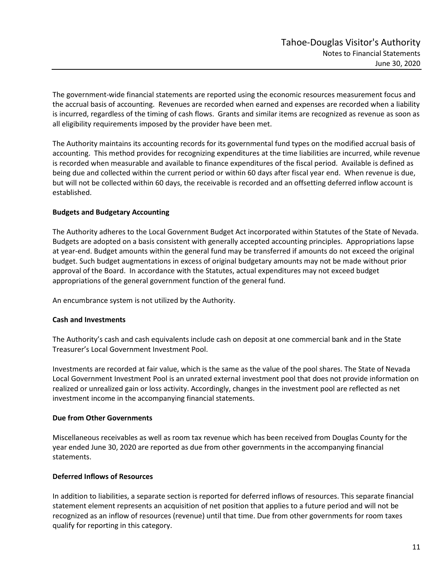The government-wide financial statements are reported using the economic resources measurement focus and the accrual basis of accounting. Revenues are recorded when earned and expenses are recorded when a liability is incurred, regardless of the timing of cash flows. Grants and similar items are recognized as revenue as soon as all eligibility requirements imposed by the provider have been met.

The Authority maintains its accounting records for its governmental fund types on the modified accrual basis of accounting. This method provides for recognizing expenditures at the time liabilities are incurred, while revenue is recorded when measurable and available to finance expenditures of the fiscal period. Available is defined as being due and collected within the current period or within 60 days after fiscal year end. When revenue is due, but will not be collected within 60 days, the receivable is recorded and an offsetting deferred inflow account is established.

## **Budgets and Budgetary Accounting**

The Authority adheres to the Local Government Budget Act incorporated within Statutes of the State of Nevada. Budgets are adopted on a basis consistent with generally accepted accounting principles. Appropriations lapse at year-end. Budget amounts within the general fund may be transferred if amounts do not exceed the original budget. Such budget augmentations in excess of original budgetary amounts may not be made without prior approval of the Board. In accordance with the Statutes, actual expenditures may not exceed budget appropriations of the general government function of the general fund.

An encumbrance system is not utilized by the Authority.

## **Cash and Investments**

The Authority's cash and cash equivalents include cash on deposit at one commercial bank and in the State Treasurer's Local Government Investment Pool.

Investments are recorded at fair value, which is the same as the value of the pool shares. The State of Nevada Local Government Investment Pool is an unrated external investment pool that does not provide information on realized or unrealized gain or loss activity. Accordingly, changes in the investment pool are reflected as net investment income in the accompanying financial statements.

## **Due from Other Governments**

Miscellaneous receivables as well as room tax revenue which has been received from Douglas County for the year ended June 30, 2020 are reported as due from other governments in the accompanying financial statements.

## **Deferred Inflows of Resources**

In addition to liabilities, a separate section is reported for deferred inflows of resources. This separate financial statement element represents an acquisition of net position that applies to a future period and will not be recognized as an inflow of resources (revenue) until that time. Due from other governments for room taxes qualify for reporting in this category.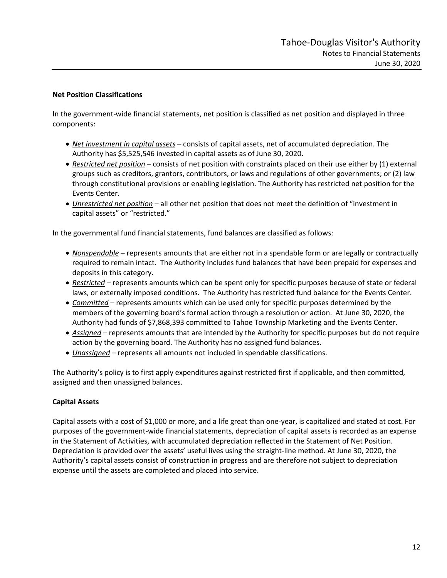## **Net Position Classifications**

In the government-wide financial statements, net position is classified as net position and displayed in three components:

- *Net investment in capital assets* consists of capital assets, net of accumulated depreciation. The Authority has \$5,525,546 invested in capital assets as of June 30, 2020.
- *Restricted net position* consists of net position with constraints placed on their use either by (1) external groups such as creditors, grantors, contributors, or laws and regulations of other governments; or (2) law through constitutional provisions or enabling legislation. The Authority has restricted net position for the Events Center.
- *Unrestricted net position* all other net position that does not meet the definition of "investment in capital assets" or "restricted."

In the governmental fund financial statements, fund balances are classified as follows:

- *Nonspendable* represents amounts that are either not in a spendable form or are legally or contractually required to remain intact. The Authority includes fund balances that have been prepaid for expenses and deposits in this category.
- *Restricted* represents amounts which can be spent only for specific purposes because of state or federal laws, or externally imposed conditions. The Authority has restricted fund balance for the Events Center.
- *Committed* represents amounts which can be used only for specific purposes determined by the members of the governing board's formal action through a resolution or action. At June 30, 2020, the Authority had funds of \$7,868,393 committed to Tahoe Township Marketing and the Events Center.
- *Assigned* represents amounts that are intended by the Authority for specific purposes but do not require action by the governing board. The Authority has no assigned fund balances.
- *Unassigned* represents all amounts not included in spendable classifications.

The Authority's policy is to first apply expenditures against restricted first if applicable, and then committed, assigned and then unassigned balances.

# **Capital Assets**

Capital assets with a cost of \$1,000 or more, and a life great than one-year, is capitalized and stated at cost. For purposes of the government-wide financial statements, depreciation of capital assets is recorded as an expense in the Statement of Activities, with accumulated depreciation reflected in the Statement of Net Position. Depreciation is provided over the assets' useful lives using the straight-line method. At June 30, 2020, the Authority's capital assets consist of construction in progress and are therefore not subject to depreciation expense until the assets are completed and placed into service.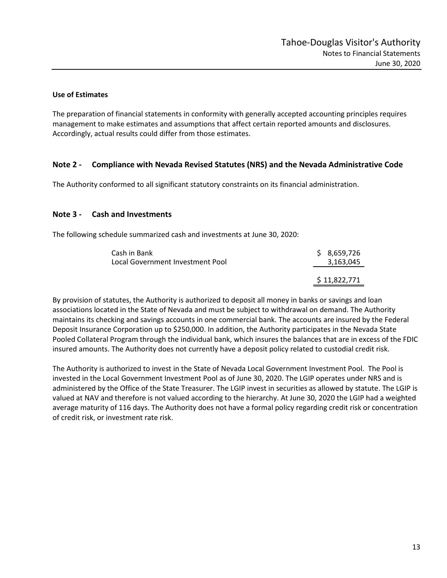## **Use of Estimates**

The preparation of financial statements in conformity with generally accepted accounting principles requires management to make estimates and assumptions that affect certain reported amounts and disclosures. Accordingly, actual results could differ from those estimates.

# **Note 2 - Compliance with Nevada Revised Statutes (NRS) and the Nevada Administrative Code**

The Authority conformed to all significant statutory constraints on its financial administration.

# **Note 3 - Cash and Investments**

The following schedule summarized cash and investments at June 30, 2020:

| Cash in Bank<br>Local Government Investment Pool | \$8,659,726<br>3,163,045 |
|--------------------------------------------------|--------------------------|
|                                                  | \$11,822,771             |

By provision of statutes, the Authority is authorized to deposit all money in banks or savings and loan associations located in the State of Nevada and must be subject to withdrawal on demand. The Authority maintains its checking and savings accounts in one commercial bank. The accounts are insured by the Federal Deposit Insurance Corporation up to \$250,000. In addition, the Authority participates in the Nevada State Pooled Collateral Program through the individual bank, which insures the balances that are in excess of the FDIC insured amounts. The Authority does not currently have a deposit policy related to custodial credit risk.

The Authority is authorized to invest in the State of Nevada Local Government Investment Pool. The Pool is invested in the Local Government Investment Pool as of June 30, 2020. The LGIP operates under NRS and is administered by the Office of the State Treasurer. The LGIP invest in securities as allowed by statute. The LGIP is valued at NAV and therefore is not valued according to the hierarchy. At June 30, 2020 the LGIP had a weighted average maturity of 116 days. The Authority does not have a formal policy regarding credit risk or concentration of credit risk, or investment rate risk.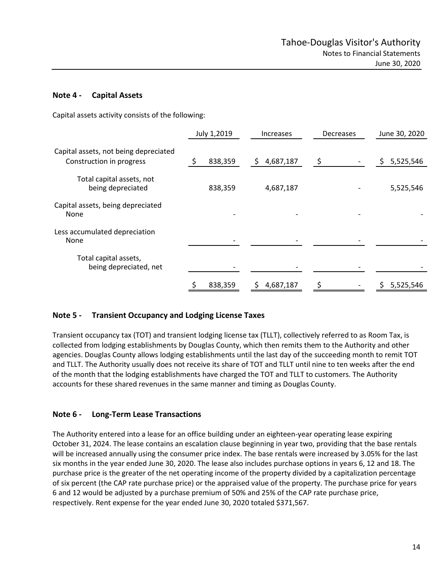# **Note 4 - Capital Assets**

Capital assets activity consists of the following:

|                                                                   | July 1,2019 | <b>Increases</b> | Decreases | June 30, 2020  |
|-------------------------------------------------------------------|-------------|------------------|-----------|----------------|
| Capital assets, not being depreciated<br>Construction in progress | 838,359     | 4,687,187<br>\$  | \$        | 5,525,546<br>S |
| Total capital assets, not<br>being depreciated                    | 838,359     | 4,687,187        |           | 5,525,546      |
| Capital assets, being depreciated<br>None                         |             |                  |           |                |
| Less accumulated depreciation<br>None                             |             |                  |           |                |
| Total capital assets,<br>being depreciated, net                   |             |                  |           |                |
|                                                                   | 838,359     | 4,687,187        |           | 5,525,546      |

# **Note 5 - Transient Occupancy and Lodging License Taxes**

Transient occupancy tax (TOT) and transient lodging license tax (TLLT), collectively referred to as Room Tax, is collected from lodging establishments by Douglas County, which then remits them to the Authority and other agencies. Douglas County allows lodging establishments until the last day of the succeeding month to remit TOT and TLLT. The Authority usually does not receive its share of TOT and TLLT until nine to ten weeks after the end of the month that the lodging establishments have charged the TOT and TLLT to customers. The Authority accounts for these shared revenues in the same manner and timing as Douglas County.

# **Note 6 - Long-Term Lease Transactions**

The Authority entered into a lease for an office building under an eighteen-year operating lease expiring October 31, 2024. The lease contains an escalation clause beginning in year two, providing that the base rentals will be increased annually using the consumer price index. The base rentals were increased by 3.05% for the last six months in the year ended June 30, 2020. The lease also includes purchase options in years 6, 12 and 18. The purchase price is the greater of the net operating income of the property divided by a capitalization percentage of six percent (the CAP rate purchase price) or the appraised value of the property. The purchase price for years 6 and 12 would be adjusted by a purchase premium of 50% and 25% of the CAP rate purchase price, respectively. Rent expense for the year ended June 30, 2020 totaled \$371,567.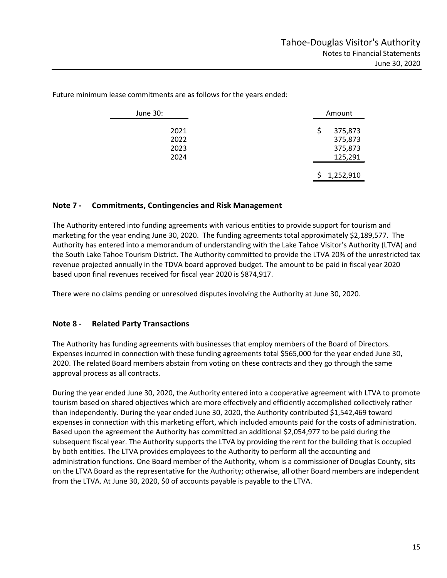June 30: Amount 2021 \$ 375,873 2022 375,873 2023 375,873 2024 125,291 1,252,910

Future minimum lease commitments are as follows for the years ended:

## **Note 7 - Commitments, Contingencies and Risk Management**

The Authority entered into funding agreements with various entities to provide support for tourism and marketing for the year ending June 30, 2020. The funding agreements total approximately \$2,189,577. The Authority has entered into a memorandum of understanding with the Lake Tahoe Visitor's Authority (LTVA) and the South Lake Tahoe Tourism District. The Authority committed to provide the LTVA 20% of the unrestricted tax revenue projected annually in the TDVA board approved budget. The amount to be paid in fiscal year 2020 based upon final revenues received for fiscal year 2020 is \$874,917.

There were no claims pending or unresolved disputes involving the Authority at June 30, 2020.

## **Note 8 - Related Party Transactions**

The Authority has funding agreements with businesses that employ members of the Board of Directors. Expenses incurred in connection with these funding agreements total \$565,000 for the year ended June 30, 2020. The related Board members abstain from voting on these contracts and they go through the same approval process as all contracts.

During the year ended June 30, 2020, the Authority entered into a cooperative agreement with LTVA to promote tourism based on shared objectives which are more effectively and efficiently accomplished collectively rather than independently. During the year ended June 30, 2020, the Authority contributed \$1,542,469 toward expenses in connection with this marketing effort, which included amounts paid for the costs of administration. Based upon the agreement the Authority has committed an additional \$2,054,977 to be paid during the subsequent fiscal year. The Authority supports the LTVA by providing the rent for the building that is occupied by both entities. The LTVA provides employees to the Authority to perform all the accounting and administration functions. One Board member of the Authority, whom is a commissioner of Douglas County, sits on the LTVA Board as the representative for the Authority; otherwise, all other Board members are independent from the LTVA. At June 30, 2020, \$0 of accounts payable is payable to the LTVA.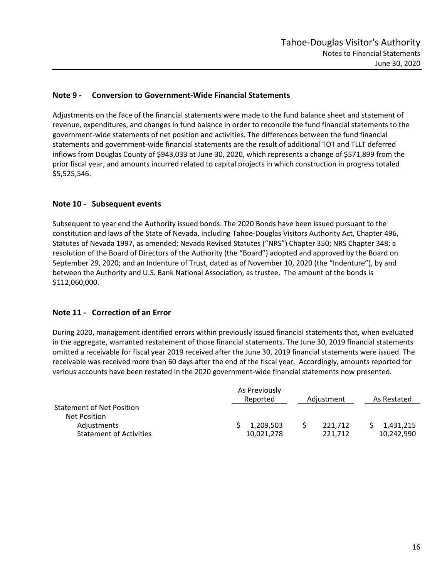# **Note 9 - Conversion to Government-Wide Financial Statements**

Adjustments on the face of the financial statements were made to the fund balance sheet and statement of revenue, expenditures, and changes in fund balance in order to reconcile the fund financial statements to the government-wide statements of net position and activities. The differences between the fund financial statements and government-wide financial statements are the result of additional TOT and TLLT deferred inflows from Douglas County of \$943,033 at June 30, 2020, which represents a change of \$571,899 from the prior fiscal year, and amounts incurred related to capital projects in which construction in progress totaled \$5,525,546.

# **Note 10 - Subsequent events**

Subsequent to year end the Authority issued bonds. The 2020 Bonds have been issued pursuant to the constitution and laws of the State of Nevada, including Tahoe-Douglas Visitors Authority Act, Chapter 496, Statutes of Nevada 1997, as amended; Nevada Revised Statutes ("NRS") Chapter 350; NRS Chapter 348; a resolution of the Board of Directors of the Authority (the "Board") adopted and approved by the Board on September 29, 2020; and an Indenture of Trust, dated as of November 10, 2020 (the "Indenture"), by and between the Authority and U.S. Bank National Association, as trustee. The amount of the bonds is \$112,060,000.

# **Note 11 - Correction of an Error**

During 2020, management identified errors within previously issued financial statements that, when evaluated in the aggregate, warranted restatement of those financial statements. The June 30, 2019 financial statements omitted a receivable for fiscal year 2019 received after the June 30, 2019 financial statements were issued. The receivable was received more than 60 days after the end of the fiscal year. Accordingly, amounts reported for various accounts have been restated in the 2020 government-wide financial statements now presented.

|                                                  | As Previously<br>Reported | Adjustment         | As Restated             |
|--------------------------------------------------|---------------------------|--------------------|-------------------------|
| <b>Statement of Net Position</b><br>Net Position |                           |                    |                         |
| Adjustments<br><b>Statement of Activities</b>    | 1,209,503<br>10,021,278   | 221,712<br>221.712 | 1,431,215<br>10,242,990 |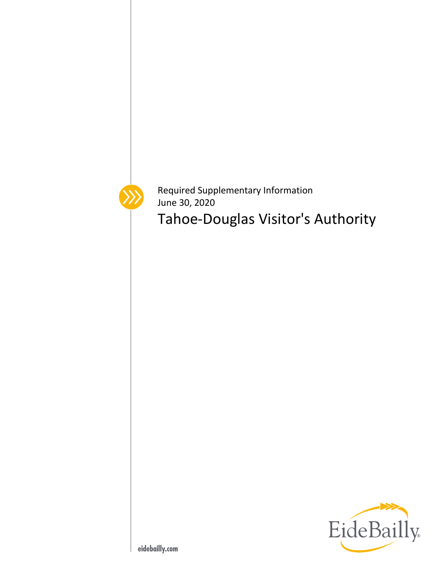

Required Supplementary Information June 30, 2020

Tahoe-Douglas Visitor's Authority

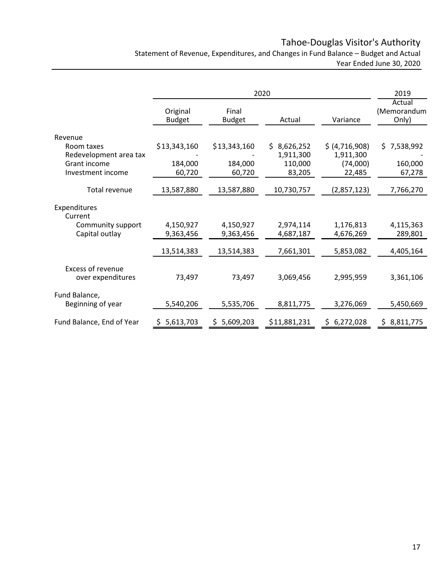# Tahoe-Douglas Visitor's Authority

Statement of Revenue, Expenditures, and Changes in Fund Balance – Budget and Actual Year Ended June 30, 2020

|                                        |                           |                        | 2020         |                  | 2019                           |
|----------------------------------------|---------------------------|------------------------|--------------|------------------|--------------------------------|
|                                        | Original<br><b>Budget</b> | Final<br><b>Budget</b> | Actual       | Variance         | Actual<br>(Memorandum<br>Only) |
| Revenue                                |                           |                        |              |                  |                                |
| Room taxes                             | \$13,343,160              | \$13,343,160           | \$8,626,252  | \$ (4, 716, 908) | \$7,538,992                    |
| Redevelopment area tax                 |                           |                        | 1,911,300    | 1,911,300        |                                |
| Grant income                           | 184,000                   | 184,000                | 110,000      | (74,000)         | 160,000                        |
| Investment income                      | 60,720                    | 60,720                 | 83,205       | 22,485           | 67,278                         |
| Total revenue                          | 13,587,880                | 13,587,880             | 10,730,757   | (2,857,123)      | 7,766,270                      |
| Expenditures<br>Current                |                           |                        |              |                  |                                |
| Community support                      | 4,150,927                 | 4,150,927              | 2,974,114    | 1,176,813        | 4,115,363                      |
| Capital outlay                         | 9,363,456                 | 9,363,456              | 4,687,187    | 4,676,269        | 289,801                        |
|                                        | 13,514,383                | 13,514,383             | 7,661,301    | 5,853,082        | 4,405,164                      |
| Excess of revenue<br>over expenditures | 73,497                    | 73,497                 | 3,069,456    | 2,995,959        | 3,361,106                      |
| Fund Balance,                          |                           |                        |              |                  |                                |
| Beginning of year                      | 5,540,206                 | 5,535,706              | 8,811,775    | 3,276,069        | 5,450,669                      |
| Fund Balance, End of Year              | 5,613,703<br>S.           | 5,609,203<br>S.        | \$11,881,231 | \$6,272,028      | \$8,811,775                    |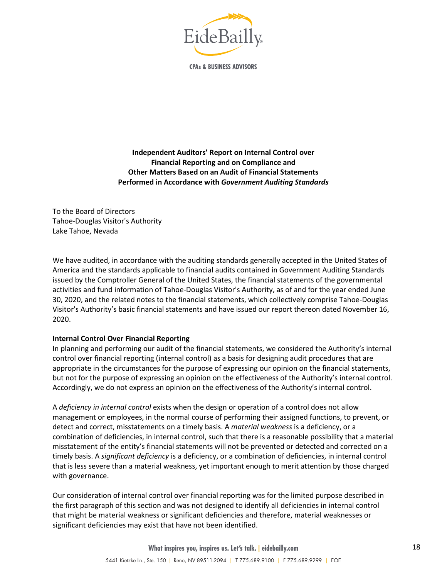

**CPAs & BUSINESS ADVISORS** 

## **Independent Auditors' Report on Internal Control over Financial Reporting and on Compliance and Other Matters Based on an Audit of Financial Statements Performed in Accordance with** *Government Auditing Standards*

To the Board of Directors Tahoe-Douglas Visitor's Authority Lake Tahoe, Nevada

We have audited, in accordance with the auditing standards generally accepted in the United States of America and the standards applicable to financial audits contained in Government Auditing Standards issued by the Comptroller General of the United States, the financial statements of the governmental activities and fund information of Tahoe-Douglas Visitor's Authority, as of and for the year ended June 30, 2020, and the related notes to the financial statements, which collectively comprise Tahoe-Douglas Visitor's Authority's basic financial statements and have issued our report thereon dated November 16, 2020.

## **Internal Control Over Financial Reporting**

In planning and performing our audit of the financial statements, we considered the Authority's internal control over financial reporting (internal control) as a basis for designing audit procedures that are appropriate in the circumstances for the purpose of expressing our opinion on the financial statements, but not for the purpose of expressing an opinion on the effectiveness of the Authority's internal control. Accordingly, we do not express an opinion on the effectiveness of the Authority's internal control.

A *deficiency in internal control* exists when the design or operation of a control does not allow management or employees, in the normal course of performing their assigned functions, to prevent, or detect and correct, misstatements on a timely basis. A *material weakness* is a deficiency, or a combination of deficiencies, in internal control, such that there is a reasonable possibility that a material misstatement of the entity's financial statements will not be prevented or detected and corrected on a timely basis. A *significant deficiency* is a deficiency, or a combination of deficiencies, in internal control that is less severe than a material weakness, yet important enough to merit attention by those charged with governance.

Our consideration of internal control over financial reporting was for the limited purpose described in the first paragraph of this section and was not designed to identify all deficiencies in internal control that might be material weakness or significant deficiencies and therefore, material weaknesses or significant deficiencies may exist that have not been identified.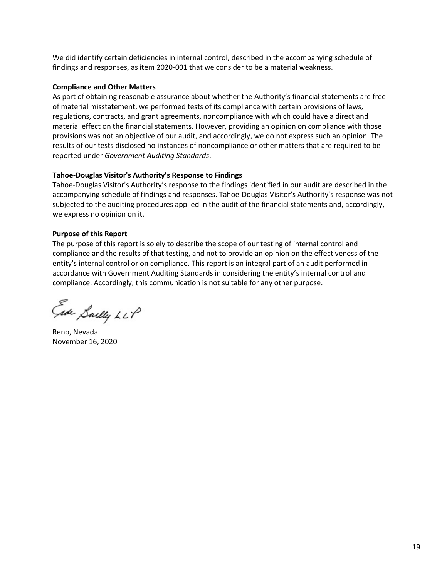We did identify certain deficiencies in internal control, described in the accompanying schedule of findings and responses, as item 2020-001 that we consider to be a material weakness.

#### **Compliance and Other Matters**

As part of obtaining reasonable assurance about whether the Authority's financial statements are free of material misstatement, we performed tests of its compliance with certain provisions of laws, regulations, contracts, and grant agreements, noncompliance with which could have a direct and material effect on the financial statements. However, providing an opinion on compliance with those provisions was not an objective of our audit, and accordingly, we do not express such an opinion. The results of our tests disclosed no instances of noncompliance or other matters that are required to be reported under *Government Auditing Standards*.

## **Tahoe-Douglas Visitor's Authority's Response to Findings**

Tahoe-Douglas Visitor's Authority's response to the findings identified in our audit are described in the accompanying schedule of findings and responses. Tahoe-Douglas Visitor's Authority's response was not subjected to the auditing procedures applied in the audit of the financial statements and, accordingly, we express no opinion on it.

## **Purpose of this Report**

The purpose of this report is solely to describe the scope of our testing of internal control and compliance and the results of that testing, and not to provide an opinion on the effectiveness of the entity's internal control or on compliance. This report is an integral part of an audit performed in accordance with Government Auditing Standards in considering the entity's internal control and compliance. Accordingly, this communication is not suitable for any other purpose.

Ede Sailly LLP

Reno, Nevada November 16, 2020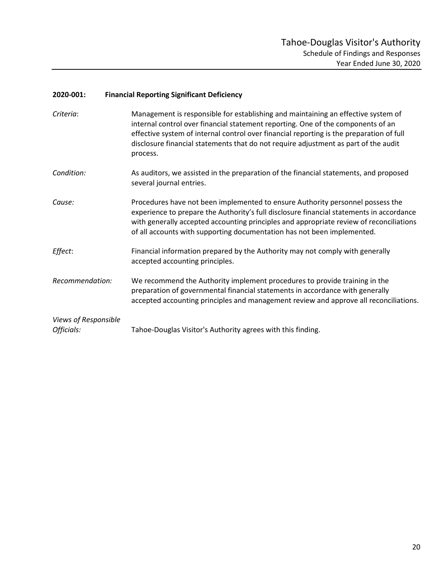#### **2020-001: Financial Reporting Significant Deficiency**

- *Criteria*: Management is responsible for establishing and maintaining an effective system of internal control over financial statement reporting. One of the components of an effective system of internal control over financial reporting is the preparation of full disclosure financial statements that do not require adjustment as part of the audit process.
- *Condition:* As auditors, we assisted in the preparation of the financial statements, and proposed several journal entries.
- *Cause:* Procedures have not been implemented to ensure Authority personnel possess the experience to prepare the Authority's full disclosure financial statements in accordance with generally accepted accounting principles and appropriate review of reconciliations of all accounts with supporting documentation has not been implemented.
- *Effect*: Financial information prepared by the Authority may not comply with generally accepted accounting principles.
- *Recommendation:* We recommend the Authority implement procedures to provide training in the preparation of governmental financial statements in accordance with generally accepted accounting principles and management review and approve all reconciliations.

| Views of Responsible |                                                             |
|----------------------|-------------------------------------------------------------|
| Officials:           | Tahoe-Douglas Visitor's Authority agrees with this finding. |